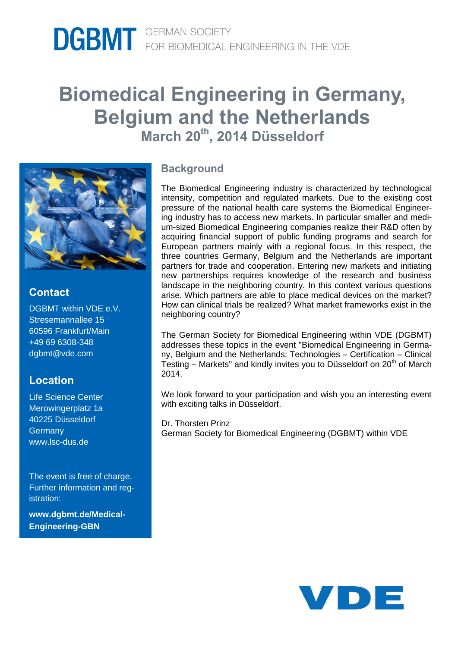# **Biomedical Engineering in Germany, Belgium and the Netherlands March 20th, 2014 Düsseldorf**



## **Contact**

DGBMT within VDE e.V. Stresemannallee 15 60596 Frankfurt/Main +49 69 6308-348 dgbmt@vde.com

### **Location**

Life Science Center Merowingerplatz 1a 40225 Düsseldorf **Germany** www.lsc-dus.de

The event is free of charge. Further information and registration:

**www.dgbmt.de/Medical-Engineering-GBN**

#### **Background**

The Biomedical Engineering industry is characterized by technological intensity, competition and regulated markets. Due to the existing cost pressure of the national health care systems the Biomedical Engineering industry has to access new markets. In particular smaller and medium-sized Biomedical Engineering companies realize their R&D often by acquiring financial support of public funding programs and search for European partners mainly with a regional focus. In this respect, the three countries Germany, Belgium and the Netherlands are important partners for trade and cooperation. Entering new markets and initiating new partnerships requires knowledge of the research and business landscape in the neighboring country. In this context various questions arise. Which partners are able to place medical devices on the market? How can clinical trials be realized? What market frameworks exist in the neighboring country?

The German Society for Biomedical Engineering within VDE (DGBMT) addresses these topics in the event "Biomedical Engineering in Germany, Belgium and the Netherlands: Technologies – Certification – Clinical Testing – Markets" and kindly invites you to Düsseldorf on  $20<sup>th</sup>$  of March 2014.

We look forward to your participation and wish you an interesting event with exciting talks in Düsseldorf.

Dr. Thorsten Prinz German Society for Biomedical Engineering (DGBMT) within VDE